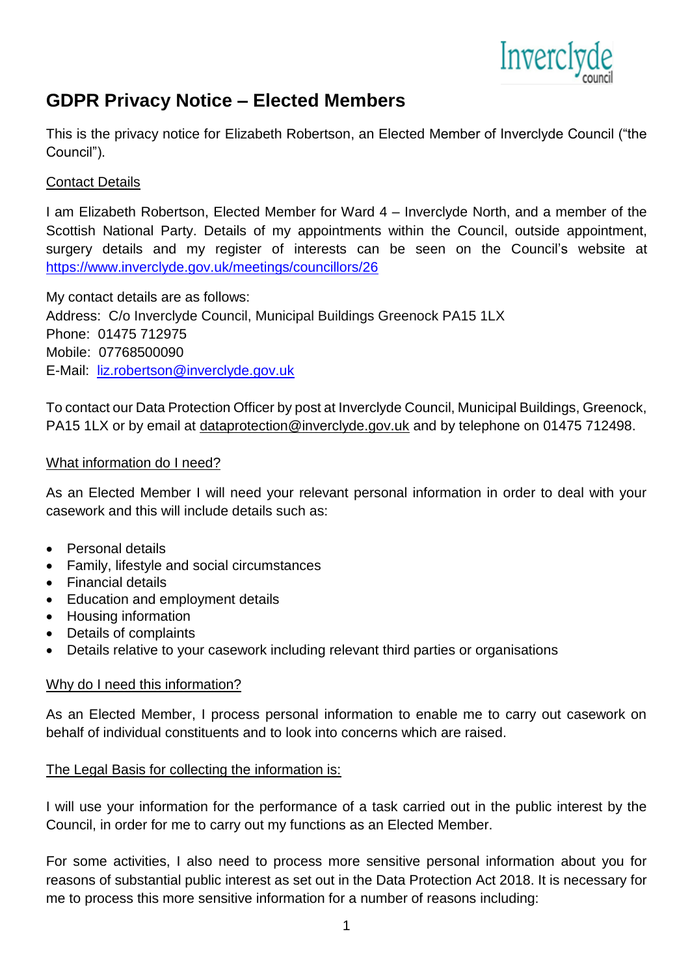

# **GDPR Privacy Notice – Elected Members**

This is the privacy notice for Elizabeth Robertson, an Elected Member of Inverclyde Council ("the Council").

# Contact Details

I am Elizabeth Robertson, Elected Member for Ward 4 – Inverclyde North, and a member of the Scottish National Party. Details of my appointments within the Council, outside appointment, surgery details and my register of interests can be seen on the Council's website at <https://www.inverclyde.gov.uk/meetings/councillors/26>

My contact details are as follows: Address: C/o Inverclyde Council, Municipal Buildings Greenock PA15 1LX Phone: 01475 712975 Mobile: 07768500090 E-Mail: [liz.robertson@inverclyde.gov.uk](mailto:liz.robertson@inverclyde.gov.uk)

To contact our Data Protection Officer by post at Inverclyde Council, Municipal Buildings, Greenock, PA15 1LX or by email at [dataprotection@inverclyde.gov.uk](mailto:dataprotection@inverclyde.gov.uk) and by telephone on 01475 712498.

### What information do I need?

As an Elected Member I will need your relevant personal information in order to deal with your casework and this will include details such as:

- Personal details
- Family, lifestyle and social circumstances
- Financial details
- Education and employment details
- Housing information
- Details of complaints
- Details relative to your casework including relevant third parties or organisations

# Why do I need this information?

As an Elected Member, I process personal information to enable me to carry out casework on behalf of individual constituents and to look into concerns which are raised.

# The Legal Basis for collecting the information is:

I will use your information for the performance of a task carried out in the public interest by the Council, in order for me to carry out my functions as an Elected Member.

For some activities, I also need to process more sensitive personal information about you for reasons of substantial public interest as set out in the Data Protection Act 2018. It is necessary for me to process this more sensitive information for a number of reasons including: